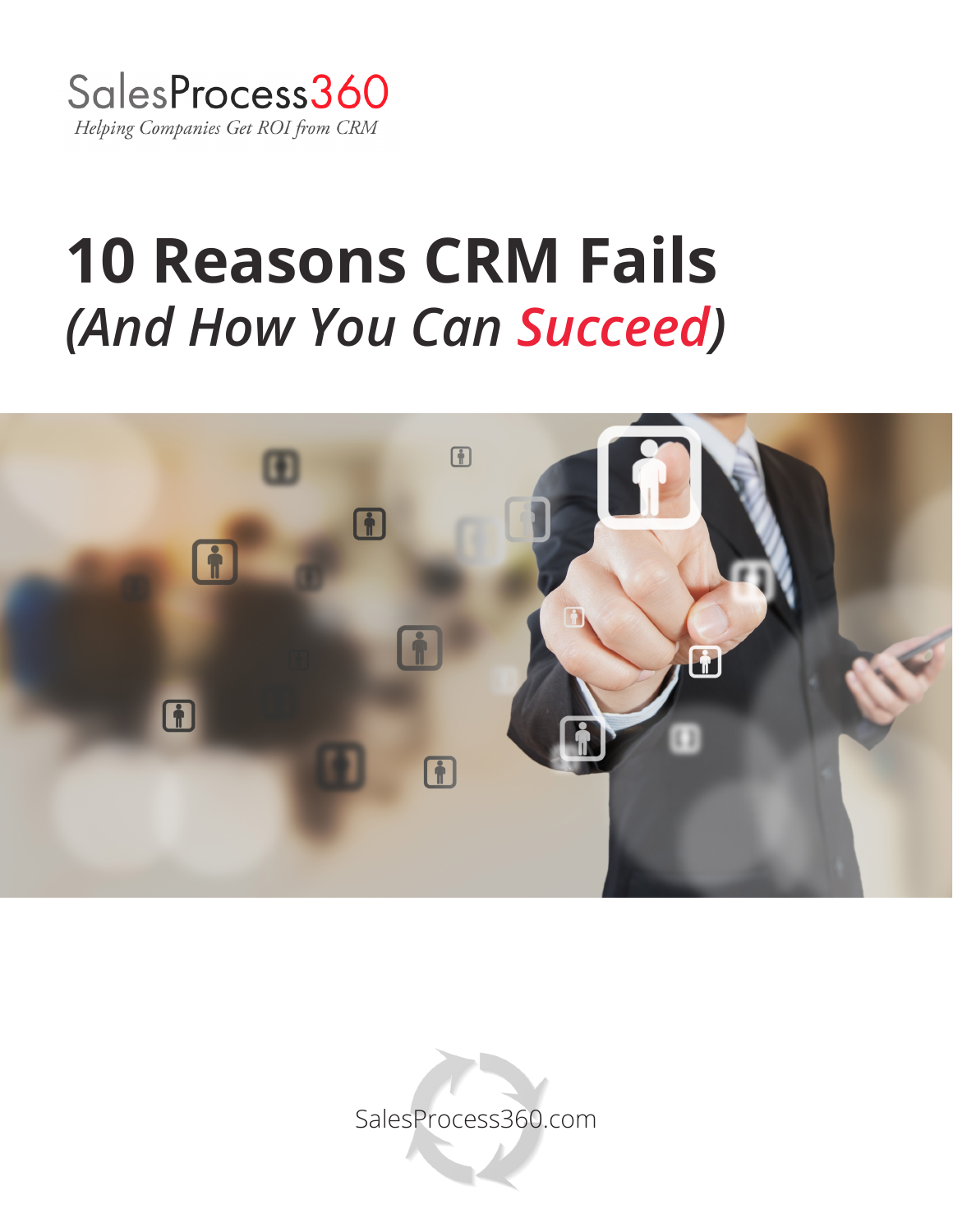

# **10 Reasons CRM Fails**  *(And How You Can Succeed)*



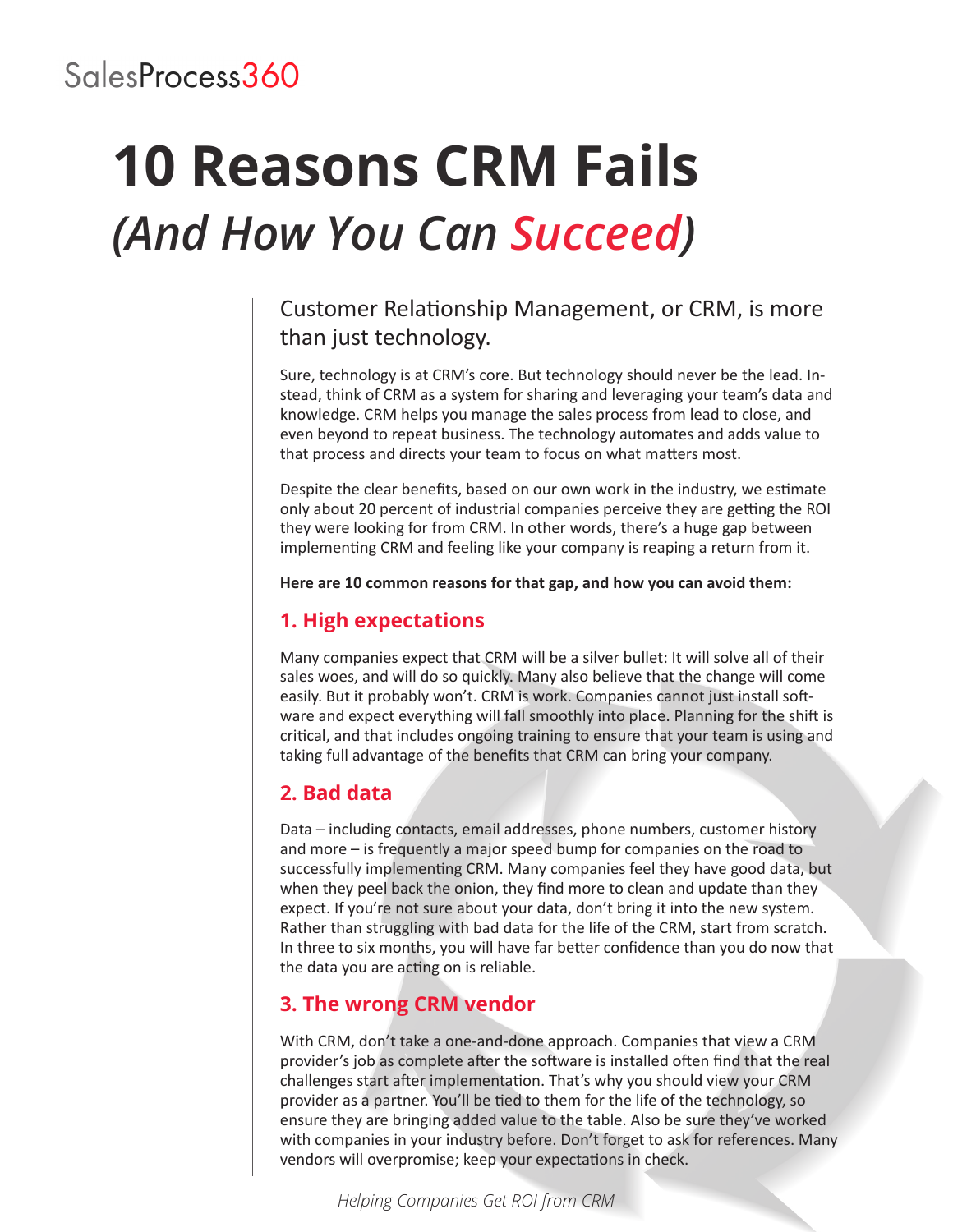# **10 Reasons CRM Fails**  *(And How You Can Succeed)*

# Customer Relationship Management, or CRM, is more than just technology.

Sure, technology is at CRM's core. But technology should never be the lead. Instead, think of CRM as a system for sharing and leveraging your team's data and knowledge. CRM helps you manage the sales process from lead to close, and even beyond to repeat business. The technology automates and adds value to that process and directs your team to focus on what matters most.

Despite the clear benefits, based on our own work in the industry, we estimate only about 20 percent of industrial companies perceive they are getting the ROI they were looking for from CRM. In other words, there's a huge gap between implementing CRM and feeling like your company is reaping a return from it.

**Here are 10 common reasons for that gap, and how you can avoid them:**

## **1. High expectations**

Many companies expect that CRM will be a silver bullet: It will solve all of their sales woes, and will do so quickly. Many also believe that the change will come easily. But it probably won't. CRM is work. Companies cannot just install software and expect everything will fall smoothly into place. Planning for the shift is critical, and that includes ongoing training to ensure that your team is using and taking full advantage of the benefits that CRM can bring your company.

## **2. Bad data**

Data – including contacts, email addresses, phone numbers, customer history and more – is frequently a major speed bump for companies on the road to successfully implementing CRM. Many companies feel they have good data, but when they peel back the onion, they find more to clean and update than they expect. If you're not sure about your data, don't bring it into the new system. Rather than struggling with bad data for the life of the CRM, start from scratch. In three to six months, you will have far better confidence than you do now that the data you are acting on is reliable.

## **3. The wrong CRM vendor**

With CRM, don't take a one-and-done approach. Companies that view a CRM provider's job as complete after the software is installed often find that the real challenges start after implementation. That's why you should view your CRM provider as a partner. You'll be tied to them for the life of the technology, so ensure they are bringing added value to the table. Also be sure they've worked with companies in your industry before. Don't forget to ask for references. Many vendors will overpromise; keep your expectations in check.

*Helping Companies Get ROI from CRM*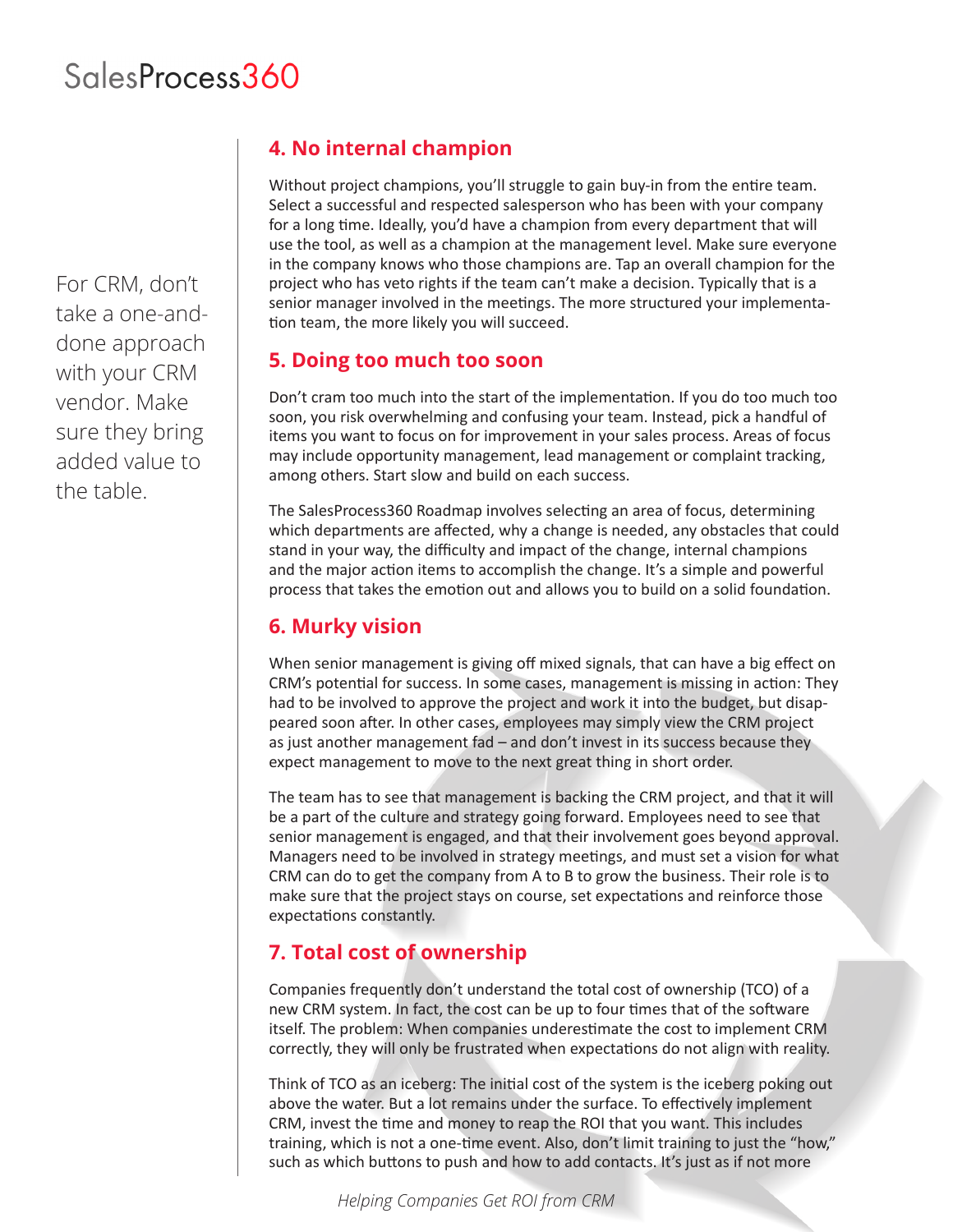For CRM, don't take a one-anddone approach with your CRM vendor. Make sure they bring added value to the table.

# **4. No internal champion**

Without project champions, you'll struggle to gain buy-in from the entire team. Select a successful and respected salesperson who has been with your company for a long time. Ideally, you'd have a champion from every department that will use the tool, as well as a champion at the management level. Make sure everyone in the company knows who those champions are. Tap an overall champion for the project who has veto rights if the team can't make a decision. Typically that is a senior manager involved in the meetings. The more structured your implementation team, the more likely you will succeed.

#### **5. Doing too much too soon**

Don't cram too much into the start of the implementation. If you do too much too soon, you risk overwhelming and confusing your team. Instead, pick a handful of items you want to focus on for improvement in your sales process. Areas of focus may include opportunity management, lead management or complaint tracking, among others. Start slow and build on each success.

The SalesProcess360 Roadmap involves selecting an area of focus, determining which departments are affected, why a change is needed, any obstacles that could stand in your way, the difficulty and impact of the change, internal champions and the major action items to accomplish the change. It's a simple and powerful process that takes the emotion out and allows you to build on a solid foundation.

## **6. Murky vision**

When senior management is giving off mixed signals, that can have a big effect on CRM's potential for success. In some cases, management is missing in action: They had to be involved to approve the project and work it into the budget, but disappeared soon after. In other cases, employees may simply view the CRM project as just another management fad – and don't invest in its success because they expect management to move to the next great thing in short order.

The team has to see that management is backing the CRM project, and that it will be a part of the culture and strategy going forward. Employees need to see that senior management is engaged, and that their involvement goes beyond approval. Managers need to be involved in strategy meetings, and must set a vision for what CRM can do to get the company from A to B to grow the business. Their role is to make sure that the project stays on course, set expectations and reinforce those expectations constantly.

## **7. Total cost of ownership**

Companies frequently don't understand the total cost of ownership (TCO) of a new CRM system. In fact, the cost can be up to four times that of the software itself. The problem: When companies underestimate the cost to implement CRM correctly, they will only be frustrated when expectations do not align with reality.

Think of TCO as an iceberg: The initial cost of the system is the iceberg poking out above the water. But a lot remains under the surface. To effectively implement CRM, invest the time and money to reap the ROI that you want. This includes training, which is not a one-time event. Also, don't limit training to just the "how," such as which buttons to push and how to add contacts. It's just as if not more

*Helping Companies Get ROI from CRM*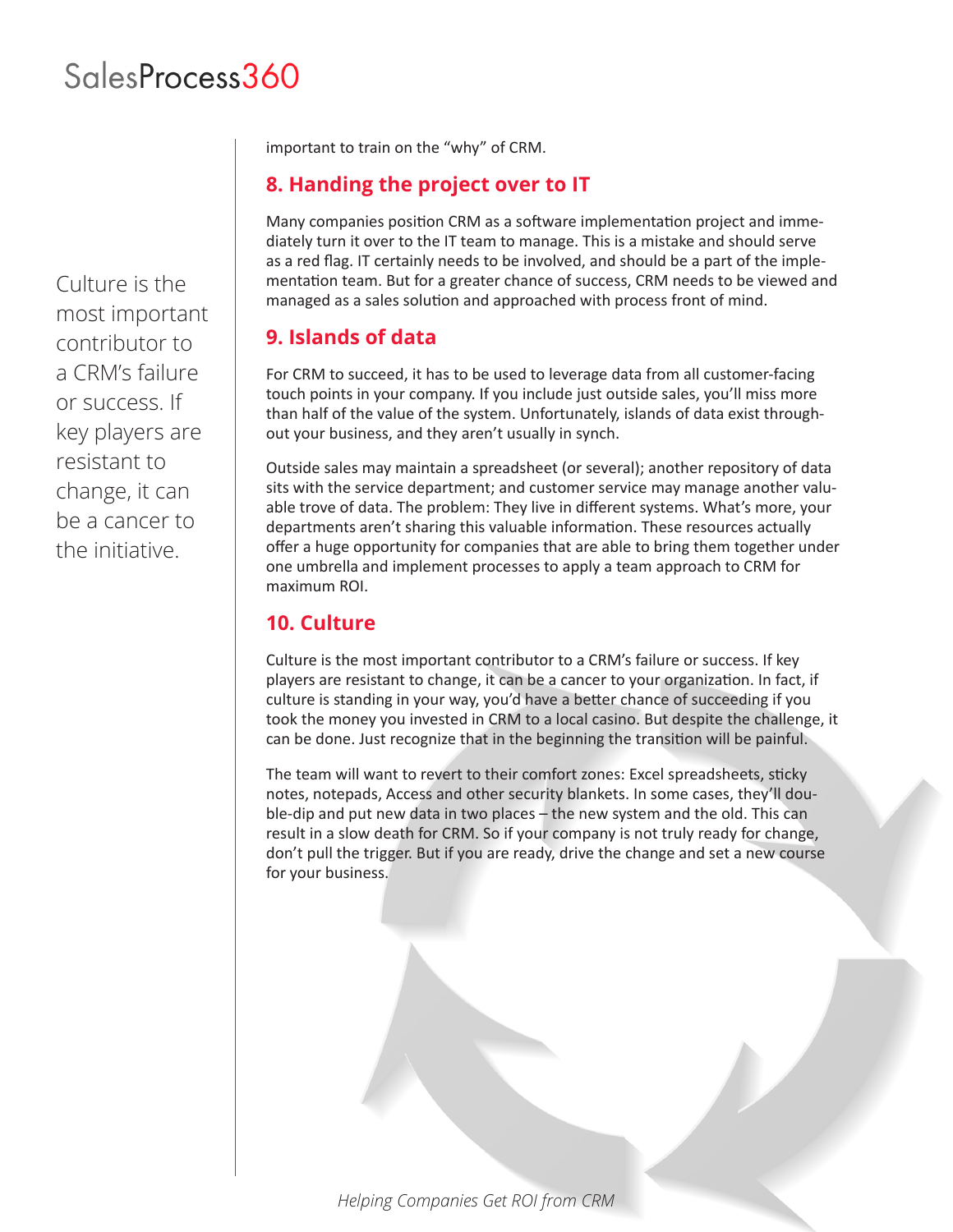Culture is the most important contributor to a CRM's failure or success. If key players are resistant to change, it can be a cancer to the initiative.

important to train on the "why" of CRM.

#### **8. Handing the project over to IT**

Many companies position CRM as a software implementation project and immediately turn it over to the IT team to manage. This is a mistake and should serve as a red flag. IT certainly needs to be involved, and should be a part of the implementation team. But for a greater chance of success, CRM needs to be viewed and managed as a sales solution and approached with process front of mind.

#### **9. Islands of data**

For CRM to succeed, it has to be used to leverage data from all customer-facing touch points in your company. If you include just outside sales, you'll miss more than half of the value of the system. Unfortunately, islands of data exist throughout your business, and they aren't usually in synch.

Outside sales may maintain a spreadsheet (or several); another repository of data sits with the service department; and customer service may manage another valuable trove of data. The problem: They live in different systems. What's more, your departments aren't sharing this valuable information. These resources actually offer a huge opportunity for companies that are able to bring them together under one umbrella and implement processes to apply a team approach to CRM for maximum ROI.

## **10. Culture**

Culture is the most important contributor to a CRM's failure or success. If key players are resistant to change, it can be a cancer to your organization. In fact, if culture is standing in your way, you'd have a better chance of succeeding if you took the money you invested in CRM to a local casino. But despite the challenge, it can be done. Just recognize that in the beginning the transition will be painful.

The team will want to revert to their comfort zones: Excel spreadsheets, sticky notes, notepads, Access and other security blankets. In some cases, they'll double-dip and put new data in two places – the new system and the old. This can result in a slow death for CRM. So if your company is not truly ready for change, don't pull the trigger. But if you are ready, drive the change and set a new course for your business.